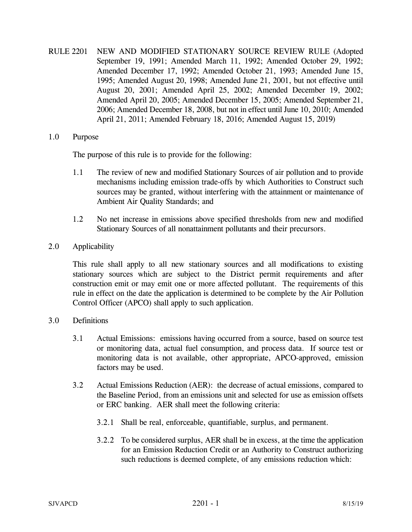- RULE 2201 NEW AND MODIFIED STATIONARY SOURCE REVIEW RULE (Adopted September 19, 1991; Amended March 11, 1992; Amended October 29, 1992; Amended December 17, 1992; Amended October 21, 1993; Amended June 15, 1995; Amended August 20, 1998; Amended June 21, 2001, but not effective until August 20, 2001; Amended April 25, 2002; Amended December 19, 2002; Amended April 20, 2005; Amended December 15, 2005; Amended September 21, 2006; Amended December 18, 2008, but not in effect until June 10, 2010; Amended April 21, 2011; Amended February 18, 2016; Amended August 15, 2019)
- 1.0 Purpose

The purpose of this rule is to provide for the following:

- 1.1 The review of new and modified Stationary Sources of air pollution and to provide mechanisms including emission trade-offs by which Authorities to Construct such sources may be granted, without interfering with the attainment or maintenance of Ambient Air Quality Standards; and
- 1.2 No net increase in emissions above specified thresholds from new and modified Stationary Sources of all nonattainment pollutants and their precursors.
- 2.0 Applicability

 This rule shall apply to all new stationary sources and all modifications to existing stationary sources which are subject to the District permit requirements and after construction emit or may emit one or more affected pollutant. The requirements of this rule in effect on the date the application is determined to be complete by the Air Pollution Control Officer (APCO) shall apply to such application.

- 3.0 Definitions
	- 3.1 Actual Emissions: emissions having occurred from a source, based on source test or monitoring data, actual fuel consumption, and process data. If source test or monitoring data is not available, other appropriate, APCO-approved, emission factors may be used.
	- 3.2 Actual Emissions Reduction (AER): the decrease of actual emissions, compared to the Baseline Period, from an emissions unit and selected for use as emission offsets or ERC banking. AER shall meet the following criteria:
		- 3.2.1 Shall be real, enforceable, quantifiable, surplus, and permanent.
		- 3.2.2 To be considered surplus, AER shall be in excess, at the time the application for an Emission Reduction Credit or an Authority to Construct authorizing such reductions is deemed complete, of any emissions reduction which: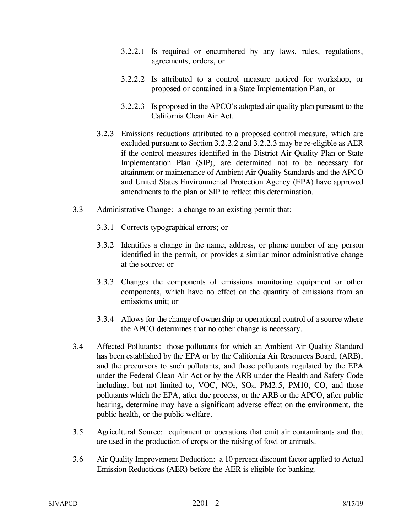- 3.2.2.1 Is required or encumbered by any laws, rules, regulations, agreements, orders, or
- 3.2.2.2 Is attributed to a control measure noticed for workshop, or proposed or contained in a State Implementation Plan, or
- 3.2.2.3 Is proposed in the APCO's adopted air quality plan pursuant to the California Clean Air Act.
- 3.2.3 Emissions reductions attributed to a proposed control measure, which are excluded pursuant to Section 3.2.2.2 and 3.2.2.3 may be re-eligible as AER if the control measures identified in the District Air Quality Plan or State Implementation Plan (SIP), are determined not to be necessary for attainment or maintenance of Ambient Air Quality Standards and the APCO and United States Environmental Protection Agency (EPA) have approved amendments to the plan or SIP to reflect this determination.
- 3.3 Administrative Change: a change to an existing permit that:
	- 3.3.1 Corrects typographical errors; or
	- 3.3.2 Identifies a change in the name, address, or phone number of any person identified in the permit, or provides a similar minor administrative change at the source; or
	- 3.3.3 Changes the components of emissions monitoring equipment or other components, which have no effect on the quantity of emissions from an emissions unit; or
	- 3.3.4 Allows for the change of ownership or operational control of a source where the APCO determines that no other change is necessary.
- 3.4 Affected Pollutants: those pollutants for which an Ambient Air Quality Standard has been established by the EPA or by the California Air Resources Board, (ARB), and the precursors to such pollutants, and those pollutants regulated by the EPA under the Federal Clean Air Act or by the ARB under the Health and Safety Code including, but not limited to, VOC,  $NO<sub>x</sub>$ ,  $SO<sub>x</sub>$ ,  $PM2.5$ ,  $PM10$ , CO, and those pollutants which the EPA, after due process, or the ARB or the APCO, after public hearing, determine may have a significant adverse effect on the environment, the public health, or the public welfare.
- 3.5 Agricultural Source: equipment or operations that emit air contaminants and that are used in the production of crops or the raising of fowl or animals.
- 3.6 Air Quality Improvement Deduction: a 10 percent discount factor applied to Actual Emission Reductions (AER) before the AER is eligible for banking.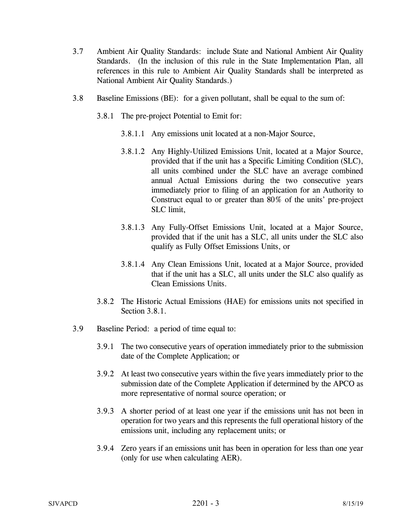- 3.7 Ambient Air Quality Standards: include State and National Ambient Air Quality Standards. (In the inclusion of this rule in the State Implementation Plan, all references in this rule to Ambient Air Quality Standards shall be interpreted as National Ambient Air Quality Standards.)
- 3.8 Baseline Emissions (BE): for a given pollutant, shall be equal to the sum of:
	- 3.8.1 The pre-project Potential to Emit for:
		- 3.8.1.1 Any emissions unit located at a non-Major Source,
		- 3.8.1.2 Any Highly-Utilized Emissions Unit, located at a Major Source, provided that if the unit has a Specific Limiting Condition (SLC), all units combined under the SLC have an average combined annual Actual Emissions during the two consecutive years immediately prior to filing of an application for an Authority to Construct equal to or greater than 80% of the units' pre-project SLC limit,
		- 3.8.1.3 Any Fully-Offset Emissions Unit, located at a Major Source, provided that if the unit has a SLC, all units under the SLC also qualify as Fully Offset Emissions Units, or
		- 3.8.1.4 Any Clean Emissions Unit, located at a Major Source, provided that if the unit has a SLC, all units under the SLC also qualify as Clean Emissions Units.
	- 3.8.2 The Historic Actual Emissions (HAE) for emissions units not specified in Section 3.8.1.
- 3.9 Baseline Period: a period of time equal to:
	- 3.9.1 The two consecutive years of operation immediately prior to the submission date of the Complete Application; or
	- 3.9.2 At least two consecutive years within the five years immediately prior to the submission date of the Complete Application if determined by the APCO as more representative of normal source operation; or
	- 3.9.3 A shorter period of at least one year if the emissions unit has not been in operation for two years and this represents the full operational history of the emissions unit, including any replacement units; or
	- 3.9.4 Zero years if an emissions unit has been in operation for less than one year (only for use when calculating AER).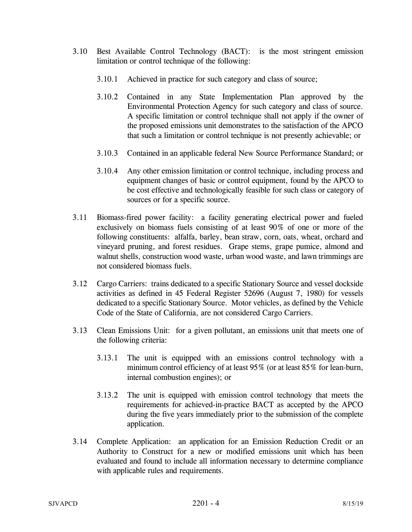- 3.10 Best Available Control Technology (BACT): is the most stringent emission limitation or control technique of the following:
	- 3.10.1 Achieved in practice for such category and class of source;
	- 3.10.2 Contained in any State Implementation Plan approved by the Environmental Protection Agency for such category and class of source. A specific limitation or control technique shall not apply if the owner of the proposed emissions unit demonstrates to the satisfaction of the APCO that such a limitation or control technique is not presently achievable; or
	- 3.10.3 Contained in an applicable federal New Source Performance Standard; or
	- 3.10.4 Any other emission limitation or control technique, including process and equipment changes of basic or control equipment, found by the APCO to be cost effective and technologically feasible for such class or category of sources or for a specific source.
- 3.11 Biomass-fired power facility: a facility generating electrical power and fueled exclusively on biomass fuels consisting of at least 90% of one or more of the following constituents: alfalfa, barley, bean straw, corn, oats, wheat, orchard and vineyard pruning, and forest residues. Grape stems, grape pumice, almond and walnut shells, construction wood waste, urban wood waste, and lawn trimmings are not considered biomass fuels.
- 3.12 Cargo Carriers: trains dedicated to a specific Stationary Source and vessel dockside activities as defined in 45 Federal Register 52696 (August 7, 1980) for vessels dedicated to a specific Stationary Source. Motor vehicles, as defined by the Vehicle Code of the State of California, are not considered Cargo Carriers.
- 3.13 Clean Emissions Unit: for a given pollutant, an emissions unit that meets one of the following criteria:
	- 3.13.1 The unit is equipped with an emissions control technology with a minimum control efficiency of at least 95% (or at least 85% for lean-burn, internal combustion engines); or
	- 3.13.2 The unit is equipped with emission control technology that meets the requirements for achieved-in-practice BACT as accepted by the APCO during the five years immediately prior to the submission of the complete application.
- 3.14 Complete Application: an application for an Emission Reduction Credit or an Authority to Construct for a new or modified emissions unit which has been evaluated and found to include all information necessary to determine compliance with applicable rules and requirements.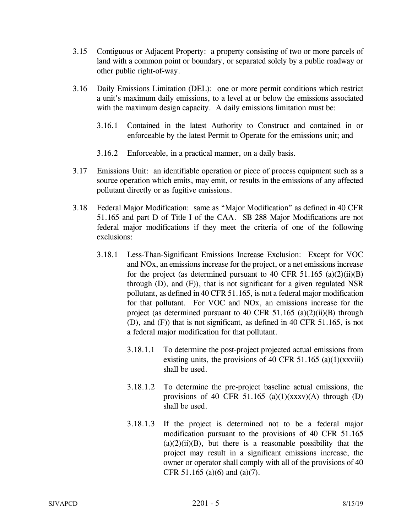- 3.15 Contiguous or Adjacent Property: a property consisting of two or more parcels of land with a common point or boundary, or separated solely by a public roadway or other public right-of-way.
- 3.16 Daily Emissions Limitation (DEL): one or more permit conditions which restrict a unit's maximum daily emissions, to a level at or below the emissions associated with the maximum design capacity. A daily emissions limitation must be:
	- 3.16.1 Contained in the latest Authority to Construct and contained in or enforceable by the latest Permit to Operate for the emissions unit; and
	- 3.16.2 Enforceable, in a practical manner, on a daily basis.
- 3.17 Emissions Unit: an identifiable operation or piece of process equipment such as a source operation which emits, may emit, or results in the emissions of any affected pollutant directly or as fugitive emissions.
- 3.18 Federal Major Modification: same as "Major Modification" as defined in 40 CFR 51.165 and part D of Title I of the CAA. SB 288 Major Modifications are not federal major modifications if they meet the criteria of one of the following exclusions:
	- 3.18.1 Less-Than-Significant Emissions Increase Exclusion: Except for VOC and NOx, an emissions increase for the project, or a net emissions increase for the project (as determined pursuant to 40 CFR 51.165 (a)(2)(ii)(B) through (D), and (F)), that is not significant for a given regulated NSR pollutant, as defined in 40 CFR 51.165, is not a federal major modification for that pollutant. For VOC and NOx, an emissions increase for the project (as determined pursuant to 40 CFR 51.165 (a)(2)(ii)(B) through (D), and (F)) that is not significant, as defined in 40 CFR 51.165, is not a federal major modification for that pollutant.
		- 3.18.1.1 To determine the post-project projected actual emissions from existing units, the provisions of 40 CFR 51.165 (a)(1)(xxviii) shall be used.
		- 3.18.1.2 To determine the pre-project baseline actual emissions, the provisions of 40 CFR 51.165 (a)(1)(xxxv)(A) through (D) shall be used.
		- 3.18.1.3 If the project is determined not to be a federal major modification pursuant to the provisions of 40 CFR 51.165  $(a)(2)(ii)(B)$ , but there is a reasonable possibility that the project may result in a significant emissions increase, the owner or operator shall comply with all of the provisions of 40 CFR 51.165 (a)(6) and (a)(7).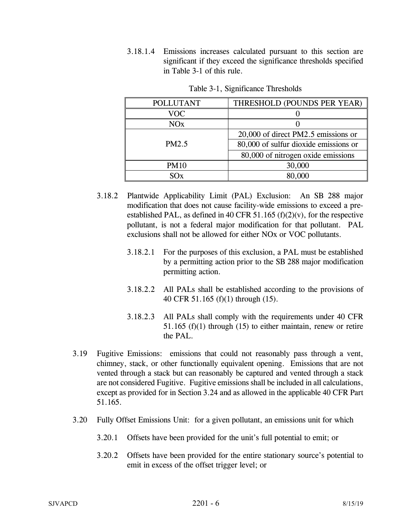3.18.1.4 Emissions increases calculated pursuant to this section are significant if they exceed the significance thresholds specified in Table 3-1 of this rule.

| <b>POLLUTANT</b>  | THRESHOLD (POUNDS PER YEAR)           |  |
|-------------------|---------------------------------------|--|
| VOC               |                                       |  |
| NOx               |                                       |  |
| PM <sub>2.5</sub> | 20,000 of direct PM2.5 emissions or   |  |
|                   | 80,000 of sulfur dioxide emissions or |  |
|                   | 80,000 of nitrogen oxide emissions    |  |
| <b>PM10</b>       | 30,000                                |  |
|                   | 80.000                                |  |

Table 3-1, Significance Thresholds

- 3.18.2 Plantwide Applicability Limit (PAL) Exclusion: An SB 288 major modification that does not cause facility-wide emissions to exceed a preestablished PAL, as defined in 40 CFR 51.165 (f)(2)(v), for the respective pollutant, is not a federal major modification for that pollutant. PAL exclusions shall not be allowed for either NOx or VOC pollutants.
	- 3.18.2.1 For the purposes of this exclusion, a PAL must be established by a permitting action prior to the SB 288 major modification permitting action.
	- 3.18.2.2 All PALs shall be established according to the provisions of 40 CFR 51.165 (f)(1) through (15).
	- 3.18.2.3 All PALs shall comply with the requirements under 40 CFR 51.165 (f)(1) through (15) to either maintain, renew or retire the PAL.
- 3.19 Fugitive Emissions: emissions that could not reasonably pass through a vent, chimney, stack, or other functionally equivalent opening. Emissions that are not vented through a stack but can reasonably be captured and vented through a stack are not considered Fugitive. Fugitive emissions shall be included in all calculations, except as provided for in Section 3.24 and as allowed in the applicable 40 CFR Part 51.165.
- 3.20 Fully Offset Emissions Unit: for a given pollutant, an emissions unit for which
	- 3.20.1 Offsets have been provided for the unit's full potential to emit; or
	- 3.20.2 Offsets have been provided for the entire stationary source's potential to emit in excess of the offset trigger level; or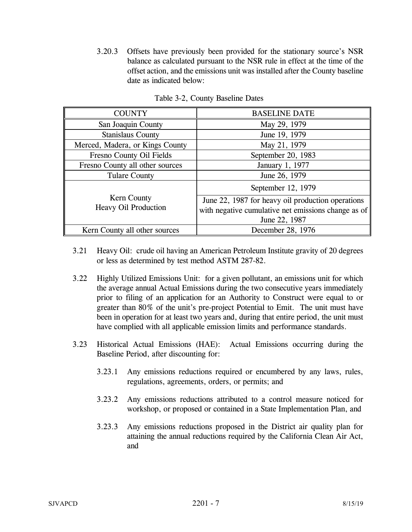3.20.3 Offsets have previously been provided for the stationary source's NSR balance as calculated pursuant to the NSR rule in effect at the time of the offset action, and the emissions unit was installed after the County baseline date as indicated below:

| <b>COUNTY</b>                                     | <b>BASELINE DATE</b>                                                                                                      |  |
|---------------------------------------------------|---------------------------------------------------------------------------------------------------------------------------|--|
| San Joaquin County                                | May 29, 1979                                                                                                              |  |
| <b>Stanislaus County</b>                          | June 19, 1979                                                                                                             |  |
| Merced, Madera, or Kings County                   | May 21, 1979                                                                                                              |  |
| Fresno County Oil Fields                          | September 20, 1983                                                                                                        |  |
| Fresno County all other sources                   | January 1, 1977                                                                                                           |  |
| <b>Tulare County</b>                              | June 26, 1979                                                                                                             |  |
| <b>Kern County</b><br><b>Heavy Oil Production</b> | September 12, 1979                                                                                                        |  |
|                                                   | June 22, 1987 for heavy oil production operations<br>with negative cumulative net emissions change as of<br>June 22, 1987 |  |
| Kern County all other sources                     | December 28, 1976                                                                                                         |  |

Table 3-2, County Baseline Dates

- 3.21 Heavy Oil: crude oil having an American Petroleum Institute gravity of 20 degrees or less as determined by test method ASTM 287-82.
- 3.22 Highly Utilized Emissions Unit: for a given pollutant, an emissions unit for which the average annual Actual Emissions during the two consecutive years immediately prior to filing of an application for an Authority to Construct were equal to or greater than 80% of the unit's pre-project Potential to Emit. The unit must have been in operation for at least two years and, during that entire period, the unit must have complied with all applicable emission limits and performance standards.
- 3.23 Historical Actual Emissions (HAE): Actual Emissions occurring during the Baseline Period, after discounting for:
	- 3.23.1 Any emissions reductions required or encumbered by any laws, rules, regulations, agreements, orders, or permits; and
	- 3.23.2 Any emissions reductions attributed to a control measure noticed for workshop, or proposed or contained in a State Implementation Plan, and
	- 3.23.3 Any emissions reductions proposed in the District air quality plan for attaining the annual reductions required by the California Clean Air Act, and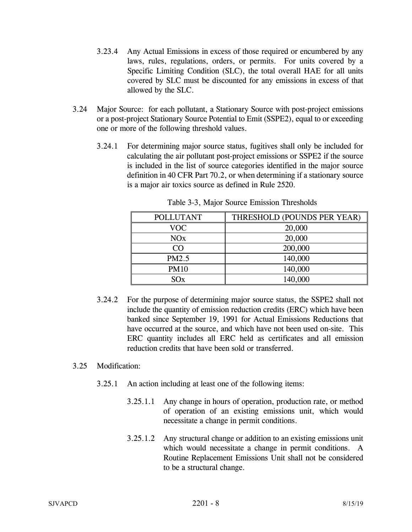- 3.23.4 Any Actual Emissions in excess of those required or encumbered by any laws, rules, regulations, orders, or permits. For units covered by a Specific Limiting Condition (SLC), the total overall HAE for all units covered by SLC must be discounted for any emissions in excess of that allowed by the SLC.
- 3.24 Major Source: for each pollutant, a Stationary Source with post-project emissions or a post-project Stationary Source Potential to Emit (SSPE2), equal to or exceeding one or more of the following threshold values.
	- 3.24.1 For determining major source status, fugitives shall only be included for calculating the air pollutant post-project emissions or SSPE2 if the source is included in the list of source categories identified in the major source definition in 40 CFR Part 70.2, or when determining if a stationary source is a major air toxics source as defined in Rule 2520.

| <b>POLLUTANT</b>      | THRESHOLD (POUNDS PER YEAR) |
|-----------------------|-----------------------------|
| VOC-                  | 20,000                      |
| <b>NO<sub>x</sub></b> | 20,000                      |
| CO                    | 200,000                     |
| PM2.5                 | 140,000                     |
| <b>PM10</b>           | 140,000                     |
| SOx                   | 140,000                     |

Table 3-3, Major Source Emission Thresholds

3.24.2 For the purpose of determining major source status, the SSPE2 shall not include the quantity of emission reduction credits (ERC) which have been banked since September 19, 1991 for Actual Emissions Reductions that have occurred at the source, and which have not been used on-site. This ERC quantity includes all ERC held as certificates and all emission reduction credits that have been sold or transferred.

## 3.25 Modification:

- 3.25.1 An action including at least one of the following items:
	- 3.25.1.1 Any change in hours of operation, production rate, or method of operation of an existing emissions unit, which would necessitate a change in permit conditions.
	- 3.25.1.2 Any structural change or addition to an existing emissions unit which would necessitate a change in permit conditions. A Routine Replacement Emissions Unit shall not be considered to be a structural change.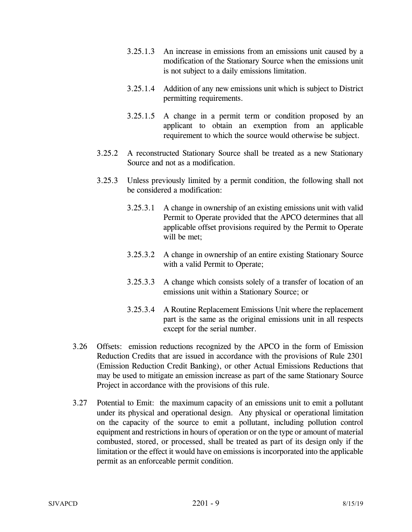- 3.25.1.3 An increase in emissions from an emissions unit caused by a modification of the Stationary Source when the emissions unit is not subject to a daily emissions limitation.
- 3.25.1.4 Addition of any new emissions unit which is subject to District permitting requirements.
- 3.25.1.5 A change in a permit term or condition proposed by an applicant to obtain an exemption from an applicable requirement to which the source would otherwise be subject.
- 3.25.2 A reconstructed Stationary Source shall be treated as a new Stationary Source and not as a modification.
- 3.25.3 Unless previously limited by a permit condition, the following shall not be considered a modification:
	- 3.25.3.1 A change in ownership of an existing emissions unit with valid Permit to Operate provided that the APCO determines that all applicable offset provisions required by the Permit to Operate will be met;
	- 3.25.3.2 A change in ownership of an entire existing Stationary Source with a valid Permit to Operate;
	- 3.25.3.3 A change which consists solely of a transfer of location of an emissions unit within a Stationary Source; or
	- 3.25.3.4 A Routine Replacement Emissions Unit where the replacement part is the same as the original emissions unit in all respects except for the serial number.
- 3.26 Offsets: emission reductions recognized by the APCO in the form of Emission Reduction Credits that are issued in accordance with the provisions of Rule 2301 (Emission Reduction Credit Banking), or other Actual Emissions Reductions that may be used to mitigate an emission increase as part of the same Stationary Source Project in accordance with the provisions of this rule.
- 3.27 Potential to Emit: the maximum capacity of an emissions unit to emit a pollutant under its physical and operational design. Any physical or operational limitation on the capacity of the source to emit a pollutant, including pollution control equipment and restrictions in hours of operation or on the type or amount of material combusted, stored, or processed, shall be treated as part of its design only if the limitation or the effect it would have on emissions is incorporated into the applicable permit as an enforceable permit condition.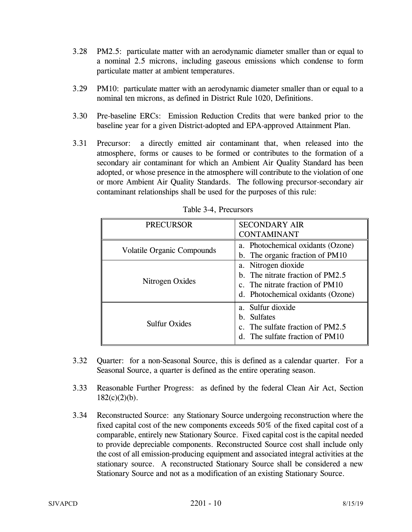- 3.28 PM2.5: particulate matter with an aerodynamic diameter smaller than or equal to a nominal 2.5 microns, including gaseous emissions which condense to form particulate matter at ambient temperatures.
- 3.29 PM10: particulate matter with an aerodynamic diameter smaller than or equal to a nominal ten microns, as defined in District Rule 1020, Definitions.
- 3.30 Pre-baseline ERCs: Emission Reduction Credits that were banked prior to the baseline year for a given District-adopted and EPA-approved Attainment Plan.
- 3.31 Precursor: a directly emitted air contaminant that, when released into the atmosphere, forms or causes to be formed or contributes to the formation of a secondary air contaminant for which an Ambient Air Quality Standard has been adopted, or whose presence in the atmosphere will contribute to the violation of one or more Ambient Air Quality Standards. The following precursor-secondary air contaminant relationships shall be used for the purposes of this rule:

| <b>PRECURSOR</b>                  | <b>SECONDARY AIR</b><br><b>CONTAMINANT</b>                                                                                      |
|-----------------------------------|---------------------------------------------------------------------------------------------------------------------------------|
| <b>Volatile Organic Compounds</b> | a. Photochemical oxidants (Ozone)<br>b. The organic fraction of PM10                                                            |
| Nitrogen Oxides                   | a. Nitrogen dioxide<br>b. The nitrate fraction of PM2.5<br>c. The nitrate fraction of PM10<br>d. Photochemical oxidants (Ozone) |
| <b>Sulfur Oxides</b>              | a. Sulfur dioxide<br>b. Sulfates<br>c. The sulfate fraction of PM2.5<br>d. The sulfate fraction of PM10                         |

- 3.32 Quarter: for a non-Seasonal Source, this is defined as a calendar quarter. For a Seasonal Source, a quarter is defined as the entire operating season.
- 3.33 Reasonable Further Progress: as defined by the federal Clean Air Act, Section  $182(c)(2)(b)$ .
- 3.34 Reconstructed Source: any Stationary Source undergoing reconstruction where the fixed capital cost of the new components exceeds 50% of the fixed capital cost of a comparable, entirely new Stationary Source. Fixed capital cost is the capital needed to provide depreciable components. Reconstructed Source cost shall include only the cost of all emission-producing equipment and associated integral activities at the stationary source. A reconstructed Stationary Source shall be considered a new Stationary Source and not as a modification of an existing Stationary Source.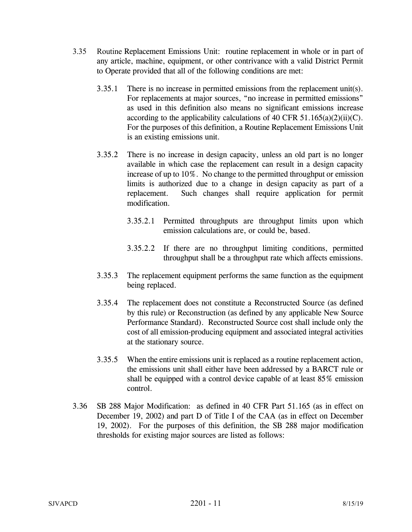- 3.35 Routine Replacement Emissions Unit: routine replacement in whole or in part of any article, machine, equipment, or other contrivance with a valid District Permit to Operate provided that all of the following conditions are met:
	- 3.35.1 There is no increase in permitted emissions from the replacement unit(s). For replacements at major sources, "no increase in permitted emissions" as used in this definition also means no significant emissions increase according to the applicability calculations of 40 CFR 51.165(a)(2)(ii)(C). For the purposes of this definition, a Routine Replacement Emissions Unit is an existing emissions unit.
	- 3.35.2 There is no increase in design capacity, unless an old part is no longer available in which case the replacement can result in a design capacity increase of up to 10%. No change to the permitted throughput or emission limits is authorized due to a change in design capacity as part of a replacement. Such changes shall require application for permit modification.
		- 3.35.2.1 Permitted throughputs are throughput limits upon which emission calculations are, or could be, based.
		- 3.35.2.2 If there are no throughput limiting conditions, permitted throughput shall be a throughput rate which affects emissions.
	- 3.35.3 The replacement equipment performs the same function as the equipment being replaced.
	- 3.35.4 The replacement does not constitute a Reconstructed Source (as defined by this rule) or Reconstruction (as defined by any applicable New Source Performance Standard). Reconstructed Source cost shall include only the cost of all emission-producing equipment and associated integral activities at the stationary source.
	- 3.35.5 When the entire emissions unit is replaced as a routine replacement action, the emissions unit shall either have been addressed by a BARCT rule or shall be equipped with a control device capable of at least 85% emission control.
- 3.36 SB 288 Major Modification: as defined in 40 CFR Part 51.165 (as in effect on December 19, 2002) and part D of Title I of the CAA (as in effect on December 19, 2002). For the purposes of this definition, the SB 288 major modification thresholds for existing major sources are listed as follows: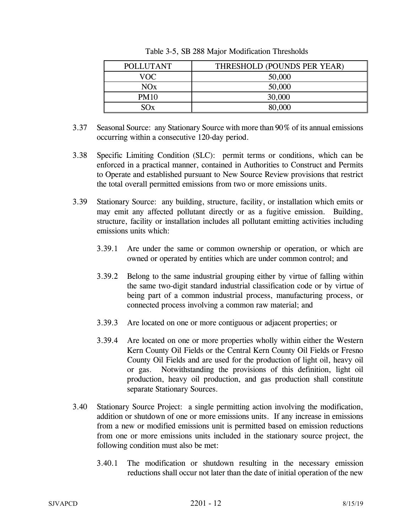| POLLUTANT       | THRESHOLD (POUNDS PER YEAR) |
|-----------------|-----------------------------|
| VOC             | 50,000                      |
| NO <sub>x</sub> | 50,000                      |
| <b>PM10</b>     | 30,000                      |
| SOx             | 80,000                      |

Table 3-5, SB 288 Major Modification Thresholds

- 3.37 Seasonal Source: any Stationary Source with more than 90% of its annual emissions occurring within a consecutive 120-day period.
- 3.38 Specific Limiting Condition (SLC): permit terms or conditions, which can be enforced in a practical manner, contained in Authorities to Construct and Permits to Operate and established pursuant to New Source Review provisions that restrict the total overall permitted emissions from two or more emissions units.
- 3.39 Stationary Source: any building, structure, facility, or installation which emits or may emit any affected pollutant directly or as a fugitive emission. Building, structure, facility or installation includes all pollutant emitting activities including emissions units which:
	- 3.39.1 Are under the same or common ownership or operation, or which are owned or operated by entities which are under common control; and
	- 3.39.2 Belong to the same industrial grouping either by virtue of falling within the same two-digit standard industrial classification code or by virtue of being part of a common industrial process, manufacturing process, or connected process involving a common raw material; and
	- 3.39.3 Are located on one or more contiguous or adjacent properties; or
	- 3.39.4 Are located on one or more properties wholly within either the Western Kern County Oil Fields or the Central Kern County Oil Fields or Fresno County Oil Fields and are used for the production of light oil, heavy oil or gas. Notwithstanding the provisions of this definition, light oil production, heavy oil production, and gas production shall constitute separate Stationary Sources.
- 3.40 Stationary Source Project: a single permitting action involving the modification, addition or shutdown of one or more emissions units. If any increase in emissions from a new or modified emissions unit is permitted based on emission reductions from one or more emissions units included in the stationary source project, the following condition must also be met:
	- 3.40.1 The modification or shutdown resulting in the necessary emission reductions shall occur not later than the date of initial operation of the new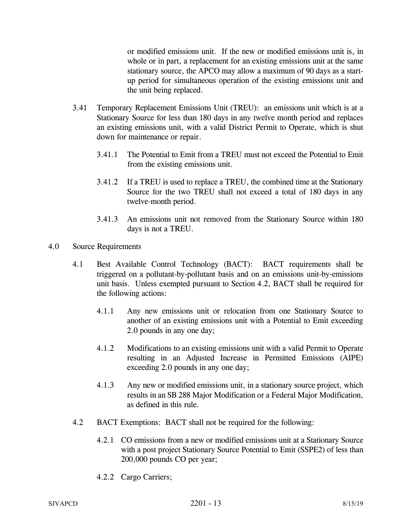or modified emissions unit. If the new or modified emissions unit is, in whole or in part, a replacement for an existing emissions unit at the same stationary source, the APCO may allow a maximum of 90 days as a startup period for simultaneous operation of the existing emissions unit and the unit being replaced.

- 3.41 Temporary Replacement Emissions Unit (TREU): an emissions unit which is at a Stationary Source for less than 180 days in any twelve month period and replaces an existing emissions unit, with a valid District Permit to Operate, which is shut down for maintenance or repair.
	- 3.41.1 The Potential to Emit from a TREU must not exceed the Potential to Emit from the existing emissions unit.
	- 3.41.2 If a TREU is used to replace a TREU, the combined time at the Stationary Source for the two TREU shall not exceed a total of 180 days in any twelve-month period.
	- 3.41.3 An emissions unit not removed from the Stationary Source within 180 days is not a TREU.
- 4.0 Source Requirements
	- 4.1 Best Available Control Technology (BACT): BACT requirements shall be triggered on a pollutant-by-pollutant basis and on an emissions unit-by-emissions unit basis. Unless exempted pursuant to Section 4.2, BACT shall be required for the following actions:
		- 4.1.1 Any new emissions unit or relocation from one Stationary Source to another of an existing emissions unit with a Potential to Emit exceeding 2.0 pounds in any one day;
		- 4.1.2 Modifications to an existing emissions unit with a valid Permit to Operate resulting in an Adjusted Increase in Permitted Emissions (AIPE) exceeding 2.0 pounds in any one day;
		- 4.1.3 Any new or modified emissions unit, in a stationary source project, which results in an SB 288 Major Modification or a Federal Major Modification, as defined in this rule.
	- 4.2 BACT Exemptions: BACT shall not be required for the following:
		- 4.2.1 CO emissions from a new or modified emissions unit at a Stationary Source with a post project Stationary Source Potential to Emit (SSPE2) of less than 200,000 pounds CO per year;
		- 4.2.2 Cargo Carriers;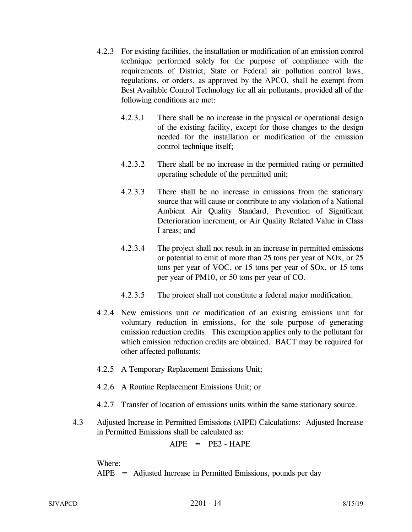- 4.2.3 For existing facilities, the installation or modification of an emission control technique performed solely for the purpose of compliance with the requirements of District, State or Federal air pollution control laws, regulations, or orders, as approved by the APCO, shall be exempt from Best Available Control Technology for all air pollutants, provided all of the following conditions are met:
	- 4.2.3.1 There shall be no increase in the physical or operational design of the existing facility, except for those changes to the design needed for the installation or modification of the emission control technique itself;
	- 4.2.3.2 There shall be no increase in the permitted rating or permitted operating schedule of the permitted unit;
	- 4.2.3.3 There shall be no increase in emissions from the stationary source that will cause or contribute to any violation of a National Ambient Air Quality Standard, Prevention of Significant Deterioration increment, or Air Quality Related Value in Class I areas; and
	- 4.2.3.4 The project shall not result in an increase in permitted emissions or potential to emit of more than 25 tons per year of NOx, or 25 tons per year of VOC, or 15 tons per year of SOx, or 15 tons per year of PM10, or 50 tons per year of CO.
	- 4.2.3.5 The project shall not constitute a federal major modification.
- 4.2.4 New emissions unit or modification of an existing emissions unit for voluntary reduction in emissions, for the sole purpose of generating emission reduction credits. This exemption applies only to the pollutant for which emission reduction credits are obtained. BACT may be required for other affected pollutants;
- 4.2.5 A Temporary Replacement Emissions Unit;
- 4.2.6 A Routine Replacement Emissions Unit; or
- 4.2.7 Transfer of location of emissions units within the same stationary source.
- 4.3 Adjusted Increase in Permitted Emissions (AIPE) Calculations: Adjusted Increase in Permitted Emissions shall be calculated as:

$$
AIPE = PE2 - HAPE
$$

Where:

 $AIPE = Adjusted Increase in Permitted Emissions, pounds per day$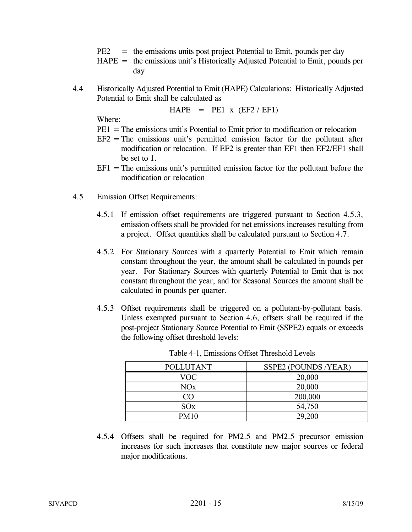- PE2 = the emissions units post project Potential to Emit, pounds per day
- HAPE = the emissions unit's Historically Adjusted Potential to Emit, pounds per day
- 4.4 Historically Adjusted Potential to Emit (HAPE) Calculations: Historically Adjusted Potential to Emit shall be calculated as

$$
HAPE = PE1 x (EF2 / EF1)
$$

Where:

- PE1 = The emissions unit's Potential to Emit prior to modification or relocation
- $EF2 = The$  emissions unit's permitted emission factor for the pollutant after modification or relocation. If EF2 is greater than EF1 then EF2/EF1 shall be set to 1.
- $E_{F1}$  = The emissions unit's permitted emission factor for the pollutant before the modification or relocation
- 4.5 Emission Offset Requirements:
	- 4.5.1 If emission offset requirements are triggered pursuant to Section 4.5.3, emission offsets shall be provided for net emissions increases resulting from a project. Offset quantities shall be calculated pursuant to Section 4.7.
	- 4.5.2 For Stationary Sources with a quarterly Potential to Emit which remain constant throughout the year, the amount shall be calculated in pounds per year. For Stationary Sources with quarterly Potential to Emit that is not constant throughout the year, and for Seasonal Sources the amount shall be calculated in pounds per quarter.
	- 4.5.3 Offset requirements shall be triggered on a pollutant-by-pollutant basis. Unless exempted pursuant to Section 4.6, offsets shall be required if the post-project Stationary Source Potential to Emit (SSPE2) equals or exceeds the following offset threshold levels:

| <b>POLLUTANT</b> | SSPE2 (POUNDS /YEAR) |
|------------------|----------------------|
| VOC              | 20,000               |
| NOx              | 20,000               |
| ിറ               | 200,000              |
| SOx              | 54,750               |
| <b>PM10</b>      | 29,200               |

Table 4-1, Emissions Offset Threshold Levels

4.5.4 Offsets shall be required for PM2.5 and PM2.5 precursor emission increases for such increases that constitute new major sources or federal major modifications.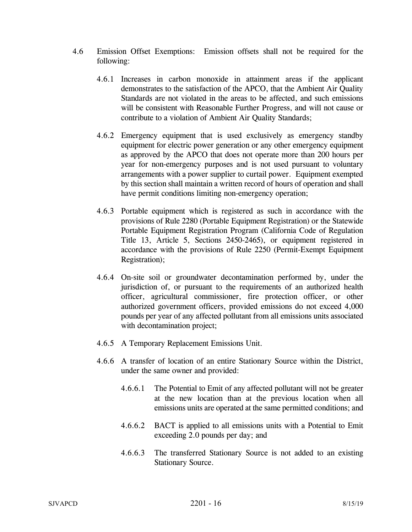- 4.6 Emission Offset Exemptions: Emission offsets shall not be required for the following:
	- 4.6.1 Increases in carbon monoxide in attainment areas if the applicant demonstrates to the satisfaction of the APCO, that the Ambient Air Quality Standards are not violated in the areas to be affected, and such emissions will be consistent with Reasonable Further Progress, and will not cause or contribute to a violation of Ambient Air Quality Standards;
	- 4.6.2 Emergency equipment that is used exclusively as emergency standby equipment for electric power generation or any other emergency equipment as approved by the APCO that does not operate more than 200 hours per year for non-emergency purposes and is not used pursuant to voluntary arrangements with a power supplier to curtail power. Equipment exempted by this section shall maintain a written record of hours of operation and shall have permit conditions limiting non-emergency operation;
	- 4.6.3 Portable equipment which is registered as such in accordance with the provisions of Rule 2280 (Portable Equipment Registration) or the Statewide Portable Equipment Registration Program (California Code of Regulation Title 13, Article 5, Sections 2450-2465), or equipment registered in accordance with the provisions of Rule 2250 (Permit-Exempt Equipment Registration);
	- 4.6.4 On-site soil or groundwater decontamination performed by, under the jurisdiction of, or pursuant to the requirements of an authorized health officer, agricultural commissioner, fire protection officer, or other authorized government officers, provided emissions do not exceed 4,000 pounds per year of any affected pollutant from all emissions units associated with decontamination project;
	- 4.6.5 A Temporary Replacement Emissions Unit.
	- 4.6.6 A transfer of location of an entire Stationary Source within the District, under the same owner and provided:
		- 4.6.6.1 The Potential to Emit of any affected pollutant will not be greater at the new location than at the previous location when all emissions units are operated at the same permitted conditions; and
		- 4.6.6.2 BACT is applied to all emissions units with a Potential to Emit exceeding 2.0 pounds per day; and
		- 4.6.6.3 The transferred Stationary Source is not added to an existing Stationary Source.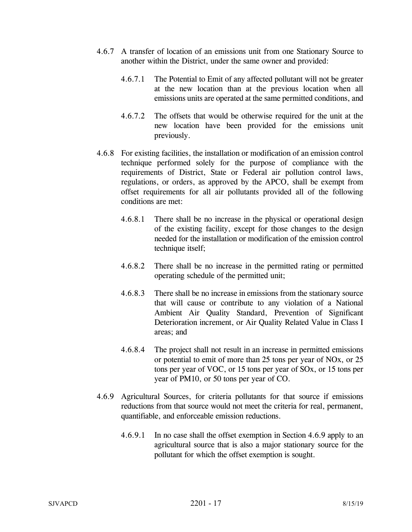- 4.6.7 A transfer of location of an emissions unit from one Stationary Source to another within the District, under the same owner and provided:
	- 4.6.7.1 The Potential to Emit of any affected pollutant will not be greater at the new location than at the previous location when all emissions units are operated at the same permitted conditions, and
	- 4.6.7.2 The offsets that would be otherwise required for the unit at the new location have been provided for the emissions unit previously.
- 4.6.8 For existing facilities, the installation or modification of an emission control technique performed solely for the purpose of compliance with the requirements of District, State or Federal air pollution control laws, regulations, or orders, as approved by the APCO, shall be exempt from offset requirements for all air pollutants provided all of the following conditions are met:
	- 4.6.8.1 There shall be no increase in the physical or operational design of the existing facility, except for those changes to the design needed for the installation or modification of the emission control technique itself;
	- 4.6.8.2 There shall be no increase in the permitted rating or permitted operating schedule of the permitted unit;
	- 4.6.8.3 There shall be no increase in emissions from the stationary source that will cause or contribute to any violation of a National Ambient Air Quality Standard, Prevention of Significant Deterioration increment, or Air Quality Related Value in Class I areas; and
	- 4.6.8.4 The project shall not result in an increase in permitted emissions or potential to emit of more than 25 tons per year of NOx, or 25 tons per year of VOC, or 15 tons per year of SOx, or 15 tons per year of PM10, or 50 tons per year of CO.
- 4.6.9 Agricultural Sources, for criteria pollutants for that source if emissions reductions from that source would not meet the criteria for real, permanent, quantifiable, and enforceable emission reductions.
	- 4.6.9.1 In no case shall the offset exemption in Section 4.6.9 apply to an agricultural source that is also a major stationary source for the pollutant for which the offset exemption is sought.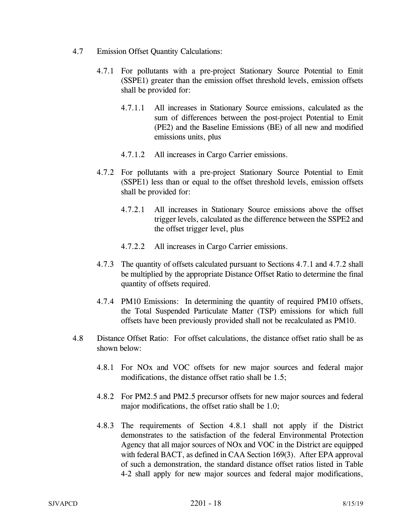- 4.7 Emission Offset Quantity Calculations:
	- 4.7.1 For pollutants with a pre-project Stationary Source Potential to Emit (SSPE1) greater than the emission offset threshold levels, emission offsets shall be provided for:
		- 4.7.1.1 All increases in Stationary Source emissions, calculated as the sum of differences between the post-project Potential to Emit (PE2) and the Baseline Emissions (BE) of all new and modified emissions units, plus
		- 4.7.1.2 All increases in Cargo Carrier emissions.
	- 4.7.2 For pollutants with a pre-project Stationary Source Potential to Emit (SSPE1) less than or equal to the offset threshold levels, emission offsets shall be provided for:
		- 4.7.2.1 All increases in Stationary Source emissions above the offset trigger levels, calculated as the difference between the SSPE2 and the offset trigger level, plus
		- 4.7.2.2 All increases in Cargo Carrier emissions.
	- 4.7.3 The quantity of offsets calculated pursuant to Sections 4.7.1 and 4.7.2 shall be multiplied by the appropriate Distance Offset Ratio to determine the final quantity of offsets required.
	- 4.7.4 PM10 Emissions: In determining the quantity of required PM10 offsets, the Total Suspended Particulate Matter (TSP) emissions for which full offsets have been previously provided shall not be recalculated as PM10.
- 4.8 Distance Offset Ratio: For offset calculations, the distance offset ratio shall be as shown below:
	- 4.8.1 For NOx and VOC offsets for new major sources and federal major modifications, the distance offset ratio shall be 1.5;
	- 4.8.2 For PM2.5 and PM2.5 precursor offsets for new major sources and federal major modifications, the offset ratio shall be 1.0;
	- 4.8.3 The requirements of Section 4.8.1 shall not apply if the District demonstrates to the satisfaction of the federal Environmental Protection Agency that all major sources of NOx and VOC in the District are equipped with federal BACT, as defined in CAA Section 169(3). After EPA approval of such a demonstration, the standard distance offset ratios listed in Table 4-2 shall apply for new major sources and federal major modifications,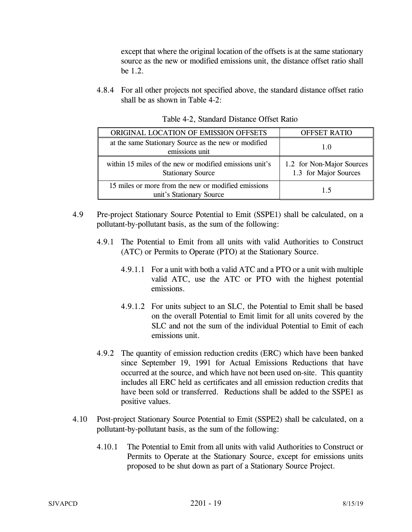except that where the original location of the offsets is at the same stationary source as the new or modified emissions unit, the distance offset ratio shall be 1.2.

4.8.4 For all other projects not specified above, the standard distance offset ratio shall be as shown in Table 4-2:

| ORIGINAL LOCATION OF EMISSION OFFSETS                                               | <b>OFFSET RATIO</b>                                |
|-------------------------------------------------------------------------------------|----------------------------------------------------|
| at the same Stationary Source as the new or modified<br>emissions unit              | 1.0                                                |
| within 15 miles of the new or modified emissions unit's<br><b>Stationary Source</b> | 1.2 for Non-Major Sources<br>1.3 for Major Sources |
| 15 miles or more from the new or modified emissions<br>unit's Stationary Source     | 1.5                                                |

Table 4-2, Standard Distance Offset Ratio

- 4.9 Pre-project Stationary Source Potential to Emit (SSPE1) shall be calculated, on a pollutant-by-pollutant basis, as the sum of the following:
	- 4.9.1 The Potential to Emit from all units with valid Authorities to Construct (ATC) or Permits to Operate (PTO) at the Stationary Source.
		- 4.9.1.1 For a unit with both a valid ATC and a PTO or a unit with multiple valid ATC, use the ATC or PTO with the highest potential emissions.
		- 4.9.1.2 For units subject to an SLC, the Potential to Emit shall be based on the overall Potential to Emit limit for all units covered by the SLC and not the sum of the individual Potential to Emit of each emissions unit.
	- 4.9.2 The quantity of emission reduction credits (ERC) which have been banked since September 19, 1991 for Actual Emissions Reductions that have occurred at the source, and which have not been used on-site. This quantity includes all ERC held as certificates and all emission reduction credits that have been sold or transferred. Reductions shall be added to the SSPE1 as positive values.
- 4.10 Post-project Stationary Source Potential to Emit (SSPE2) shall be calculated, on a pollutant-by-pollutant basis, as the sum of the following:
	- 4.10.1 The Potential to Emit from all units with valid Authorities to Construct or Permits to Operate at the Stationary Source, except for emissions units proposed to be shut down as part of a Stationary Source Project.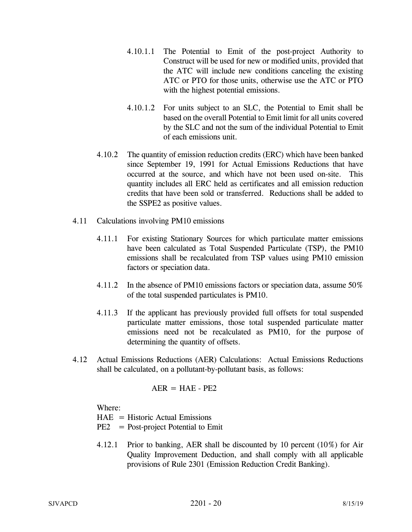- 4.10.1.1 The Potential to Emit of the post-project Authority to Construct will be used for new or modified units, provided that the ATC will include new conditions canceling the existing ATC or PTO for those units, otherwise use the ATC or PTO with the highest potential emissions.
- 4.10.1.2 For units subject to an SLC, the Potential to Emit shall be based on the overall Potential to Emit limit for all units covered by the SLC and not the sum of the individual Potential to Emit of each emissions unit.
- 4.10.2 The quantity of emission reduction credits (ERC) which have been banked since September 19, 1991 for Actual Emissions Reductions that have occurred at the source, and which have not been used on-site. This quantity includes all ERC held as certificates and all emission reduction credits that have been sold or transferred. Reductions shall be added to the SSPE2 as positive values.
- 4.11 Calculations involving PM10 emissions
	- 4.11.1 For existing Stationary Sources for which particulate matter emissions have been calculated as Total Suspended Particulate (TSP), the PM10 emissions shall be recalculated from TSP values using PM10 emission factors or speciation data.
	- 4.11.2 In the absence of PM10 emissions factors or speciation data, assume 50% of the total suspended particulates is PM10.
	- 4.11.3 If the applicant has previously provided full offsets for total suspended particulate matter emissions, those total suspended particulate matter emissions need not be recalculated as PM10, for the purpose of determining the quantity of offsets.
- 4.12 Actual Emissions Reductions (AER) Calculations: Actual Emissions Reductions shall be calculated, on a pollutant-by-pollutant basis, as follows:

$$
AER = HAE - PE2
$$

Where:

 $HAE = Historic$  Actual Emissions

- PE2 = Post-project Potential to Emit
- 4.12.1 Prior to banking, AER shall be discounted by 10 percent (10%) for Air Quality Improvement Deduction, and shall comply with all applicable provisions of Rule 2301 (Emission Reduction Credit Banking).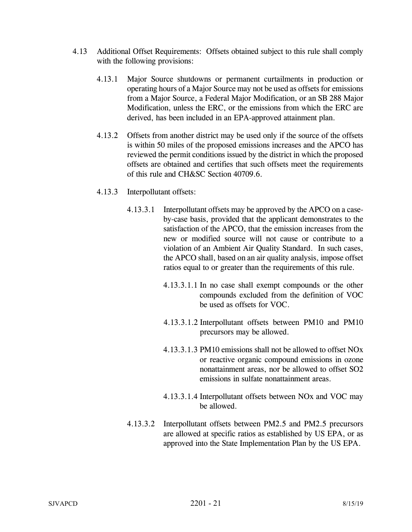- 4.13 Additional Offset Requirements: Offsets obtained subject to this rule shall comply with the following provisions:
	- 4.13.1 Major Source shutdowns or permanent curtailments in production or operating hours of a Major Source may not be used as offsets for emissions from a Major Source, a Federal Major Modification, or an SB 288 Major Modification, unless the ERC, or the emissions from which the ERC are derived, has been included in an EPA-approved attainment plan.
	- 4.13.2 Offsets from another district may be used only if the source of the offsets is within 50 miles of the proposed emissions increases and the APCO has reviewed the permit conditions issued by the district in which the proposed offsets are obtained and certifies that such offsets meet the requirements of this rule and CH&SC Section 40709.6.
	- 4.13.3 Interpollutant offsets:
		- 4.13.3.1 Interpollutant offsets may be approved by the APCO on a caseby-case basis, provided that the applicant demonstrates to the satisfaction of the APCO, that the emission increases from the new or modified source will not cause or contribute to a violation of an Ambient Air Quality Standard. In such cases, the APCO shall, based on an air quality analysis, impose offset ratios equal to or greater than the requirements of this rule.
			- 4.13.3.1.1 In no case shall exempt compounds or the other compounds excluded from the definition of VOC be used as offsets for VOC.
			- 4.13.3.1.2 Interpollutant offsets between PM10 and PM10 precursors may be allowed.
			- 4.13.3.1.3 PM10 emissions shall not be allowed to offset NOx or reactive organic compound emissions in ozone nonattainment areas, nor be allowed to offset SO2 emissions in sulfate nonattainment areas.
			- 4.13.3.1.4 Interpollutant offsets between NOx and VOC may be allowed.
		- 4.13.3.2 Interpollutant offsets between PM2.5 and PM2.5 precursors are allowed at specific ratios as established by US EPA, or as approved into the State Implementation Plan by the US EPA.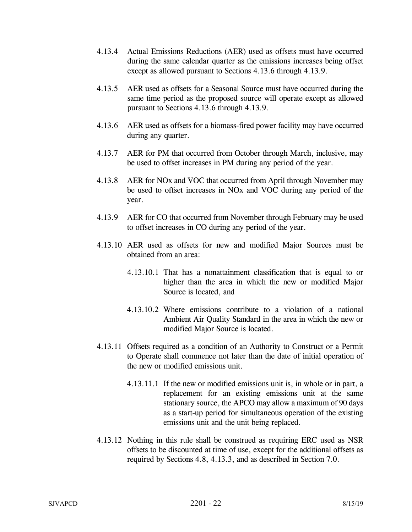- 4.13.4 Actual Emissions Reductions (AER) used as offsets must have occurred during the same calendar quarter as the emissions increases being offset except as allowed pursuant to Sections 4.13.6 through 4.13.9.
- 4.13.5 AER used as offsets for a Seasonal Source must have occurred during the same time period as the proposed source will operate except as allowed pursuant to Sections 4.13.6 through 4.13.9.
- 4.13.6 AER used as offsets for a biomass-fired power facility may have occurred during any quarter.
- 4.13.7 AER for PM that occurred from October through March, inclusive, may be used to offset increases in PM during any period of the year.
- 4.13.8 AER for NOx and VOC that occurred from April through November may be used to offset increases in NOx and VOC during any period of the year.
- 4.13.9 AER for CO that occurred from November through February may be used to offset increases in CO during any period of the year.
- 4.13.10 AER used as offsets for new and modified Major Sources must be obtained from an area:
	- 4.13.10.1 That has a nonattainment classification that is equal to or higher than the area in which the new or modified Major Source is located, and
	- 4.13.10.2 Where emissions contribute to a violation of a national Ambient Air Quality Standard in the area in which the new or modified Major Source is located.
- 4.13.11 Offsets required as a condition of an Authority to Construct or a Permit to Operate shall commence not later than the date of initial operation of the new or modified emissions unit.
	- 4.13.11.1 If the new or modified emissions unit is, in whole or in part, a replacement for an existing emissions unit at the same stationary source, the APCO may allow a maximum of 90 days as a start-up period for simultaneous operation of the existing emissions unit and the unit being replaced.
- 4.13.12 Nothing in this rule shall be construed as requiring ERC used as NSR offsets to be discounted at time of use, except for the additional offsets as required by Sections 4.8, 4.13.3, and as described in Section 7.0.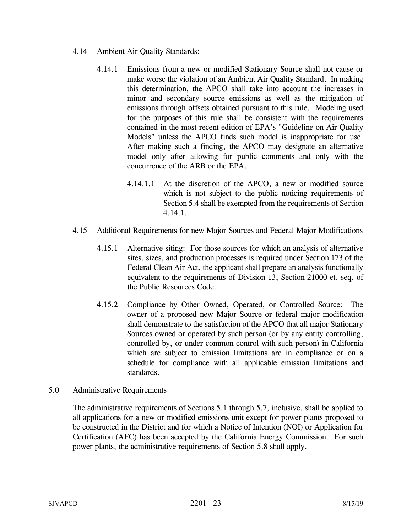- 4.14 Ambient Air Quality Standards:
	- 4.14.1 Emissions from a new or modified Stationary Source shall not cause or make worse the violation of an Ambient Air Quality Standard. In making this determination, the APCO shall take into account the increases in minor and secondary source emissions as well as the mitigation of emissions through offsets obtained pursuant to this rule. Modeling used for the purposes of this rule shall be consistent with the requirements contained in the most recent edition of EPA's "Guideline on Air Quality Models" unless the APCO finds such model is inappropriate for use. After making such a finding, the APCO may designate an alternative model only after allowing for public comments and only with the concurrence of the ARB or the EPA.
		- 4.14.1.1 At the discretion of the APCO, a new or modified source which is not subject to the public noticing requirements of Section 5.4 shall be exempted from the requirements of Section 4.14.1.
- 4.15 Additional Requirements for new Major Sources and Federal Major Modifications
	- 4.15.1 Alternative siting: For those sources for which an analysis of alternative sites, sizes, and production processes is required under Section 173 of the Federal Clean Air Act, the applicant shall prepare an analysis functionally equivalent to the requirements of Division 13, Section 21000 et. seq. of the Public Resources Code.
	- 4.15.2 Compliance by Other Owned, Operated, or Controlled Source: The owner of a proposed new Major Source or federal major modification shall demonstrate to the satisfaction of the APCO that all major Stationary Sources owned or operated by such person (or by any entity controlling, controlled by, or under common control with such person) in California which are subject to emission limitations are in compliance or on a schedule for compliance with all applicable emission limitations and standards.
- 5.0 Administrative Requirements

The administrative requirements of Sections 5.1 through 5.7, inclusive, shall be applied to all applications for a new or modified emissions unit except for power plants proposed to be constructed in the District and for which a Notice of Intention (NOI) or Application for Certification (AFC) has been accepted by the California Energy Commission. For such power plants, the administrative requirements of Section 5.8 shall apply.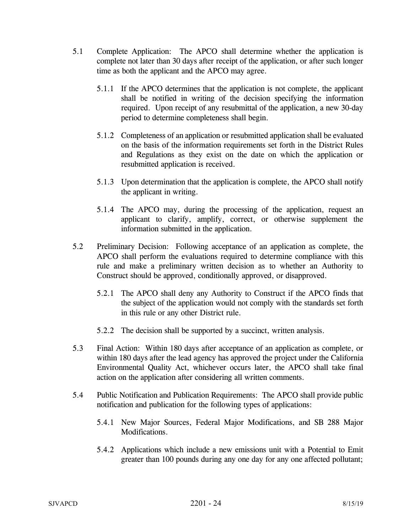- 5.1 Complete Application: The APCO shall determine whether the application is complete not later than 30 days after receipt of the application, or after such longer time as both the applicant and the APCO may agree.
	- 5.1.1 If the APCO determines that the application is not complete, the applicant shall be notified in writing of the decision specifying the information required. Upon receipt of any resubmittal of the application, a new 30-day period to determine completeness shall begin.
	- 5.1.2 Completeness of an application or resubmitted application shall be evaluated on the basis of the information requirements set forth in the District Rules and Regulations as they exist on the date on which the application or resubmitted application is received.
	- 5.1.3 Upon determination that the application is complete, the APCO shall notify the applicant in writing.
	- 5.1.4 The APCO may, during the processing of the application, request an applicant to clarify, amplify, correct, or otherwise supplement the information submitted in the application.
- 5.2 Preliminary Decision: Following acceptance of an application as complete, the APCO shall perform the evaluations required to determine compliance with this rule and make a preliminary written decision as to whether an Authority to Construct should be approved, conditionally approved, or disapproved.
	- 5.2.1 The APCO shall deny any Authority to Construct if the APCO finds that the subject of the application would not comply with the standards set forth in this rule or any other District rule.
	- 5.2.2 The decision shall be supported by a succinct, written analysis.
- 5.3 Final Action: Within 180 days after acceptance of an application as complete, or within 180 days after the lead agency has approved the project under the California Environmental Quality Act, whichever occurs later, the APCO shall take final action on the application after considering all written comments.
- 5.4 Public Notification and Publication Requirements: The APCO shall provide public notification and publication for the following types of applications:
	- 5.4.1 New Major Sources, Federal Major Modifications, and SB 288 Major Modifications.
	- 5.4.2 Applications which include a new emissions unit with a Potential to Emit greater than 100 pounds during any one day for any one affected pollutant;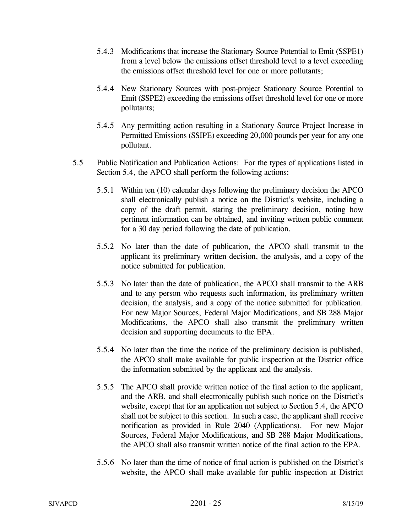- 5.4.3 Modifications that increase the Stationary Source Potential to Emit (SSPE1) from a level below the emissions offset threshold level to a level exceeding the emissions offset threshold level for one or more pollutants;
- 5.4.4 New Stationary Sources with post-project Stationary Source Potential to Emit (SSPE2) exceeding the emissions offset threshold level for one or more pollutants;
- 5.4.5 Any permitting action resulting in a Stationary Source Project Increase in Permitted Emissions (SSIPE) exceeding 20,000 pounds per year for any one pollutant.
- 5.5 Public Notification and Publication Actions: For the types of applications listed in Section 5.4, the APCO shall perform the following actions:
	- 5.5.1 Within ten (10) calendar days following the preliminary decision the APCO shall electronically publish a notice on the District's website, including a copy of the draft permit, stating the preliminary decision, noting how pertinent information can be obtained, and inviting written public comment for a 30 day period following the date of publication.
	- 5.5.2 No later than the date of publication, the APCO shall transmit to the applicant its preliminary written decision, the analysis, and a copy of the notice submitted for publication.
	- 5.5.3 No later than the date of publication, the APCO shall transmit to the ARB and to any person who requests such information, its preliminary written decision, the analysis, and a copy of the notice submitted for publication. For new Major Sources, Federal Major Modifications, and SB 288 Major Modifications, the APCO shall also transmit the preliminary written decision and supporting documents to the EPA.
	- 5.5.4 No later than the time the notice of the preliminary decision is published, the APCO shall make available for public inspection at the District office the information submitted by the applicant and the analysis.
	- 5.5.5 The APCO shall provide written notice of the final action to the applicant, and the ARB, and shall electronically publish such notice on the District's website, except that for an application not subject to Section 5.4, the APCO shall not be subject to this section. In such a case, the applicant shall receive notification as provided in Rule 2040 (Applications). For new Major Sources, Federal Major Modifications, and SB 288 Major Modifications, the APCO shall also transmit written notice of the final action to the EPA.
	- 5.5.6 No later than the time of notice of final action is published on the District's website, the APCO shall make available for public inspection at District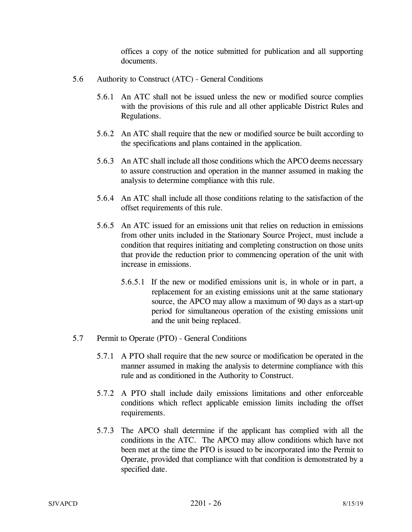offices a copy of the notice submitted for publication and all supporting documents.

- 5.6 Authority to Construct (ATC) General Conditions
	- 5.6.1 An ATC shall not be issued unless the new or modified source complies with the provisions of this rule and all other applicable District Rules and Regulations.
	- 5.6.2 An ATC shall require that the new or modified source be built according to the specifications and plans contained in the application.
	- 5.6.3 An ATC shall include all those conditions which the APCO deems necessary to assure construction and operation in the manner assumed in making the analysis to determine compliance with this rule.
	- 5.6.4 An ATC shall include all those conditions relating to the satisfaction of the offset requirements of this rule.
	- 5.6.5 An ATC issued for an emissions unit that relies on reduction in emissions from other units included in the Stationary Source Project, must include a condition that requires initiating and completing construction on those units that provide the reduction prior to commencing operation of the unit with increase in emissions.
		- 5.6.5.1 If the new or modified emissions unit is, in whole or in part, a replacement for an existing emissions unit at the same stationary source, the APCO may allow a maximum of 90 days as a start-up period for simultaneous operation of the existing emissions unit and the unit being replaced.
- 5.7 Permit to Operate (PTO) General Conditions
	- 5.7.1 A PTO shall require that the new source or modification be operated in the manner assumed in making the analysis to determine compliance with this rule and as conditioned in the Authority to Construct.
	- 5.7.2 A PTO shall include daily emissions limitations and other enforceable conditions which reflect applicable emission limits including the offset requirements.
	- 5.7.3 The APCO shall determine if the applicant has complied with all the conditions in the ATC. The APCO may allow conditions which have not been met at the time the PTO is issued to be incorporated into the Permit to Operate, provided that compliance with that condition is demonstrated by a specified date.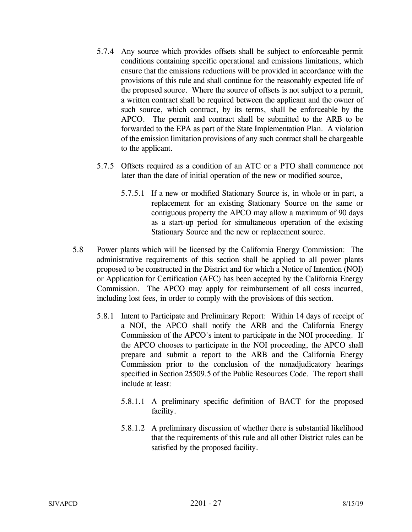- 5.7.4 Any source which provides offsets shall be subject to enforceable permit conditions containing specific operational and emissions limitations, which ensure that the emissions reductions will be provided in accordance with the provisions of this rule and shall continue for the reasonably expected life of the proposed source. Where the source of offsets is not subject to a permit, a written contract shall be required between the applicant and the owner of such source, which contract, by its terms, shall be enforceable by the APCO. The permit and contract shall be submitted to the ARB to be forwarded to the EPA as part of the State Implementation Plan. A violation of the emission limitation provisions of any such contract shall be chargeable to the applicant.
- 5.7.5 Offsets required as a condition of an ATC or a PTO shall commence not later than the date of initial operation of the new or modified source,
	- 5.7.5.1 If a new or modified Stationary Source is, in whole or in part, a replacement for an existing Stationary Source on the same or contiguous property the APCO may allow a maximum of 90 days as a start-up period for simultaneous operation of the existing Stationary Source and the new or replacement source.
- 5.8 Power plants which will be licensed by the California Energy Commission: The administrative requirements of this section shall be applied to all power plants proposed to be constructed in the District and for which a Notice of Intention (NOI) or Application for Certification (AFC) has been accepted by the California Energy Commission. The APCO may apply for reimbursement of all costs incurred, including lost fees, in order to comply with the provisions of this section.
	- 5.8.1 Intent to Participate and Preliminary Report: Within 14 days of receipt of a NOI, the APCO shall notify the ARB and the California Energy Commission of the APCO's intent to participate in the NOI proceeding. If the APCO chooses to participate in the NOI proceeding, the APCO shall prepare and submit a report to the ARB and the California Energy Commission prior to the conclusion of the nonadjudicatory hearings specified in Section 25509.5 of the Public Resources Code. The report shall include at least:
		- 5.8.1.1 A preliminary specific definition of BACT for the proposed facility.
		- 5.8.1.2 A preliminary discussion of whether there is substantial likelihood that the requirements of this rule and all other District rules can be satisfied by the proposed facility.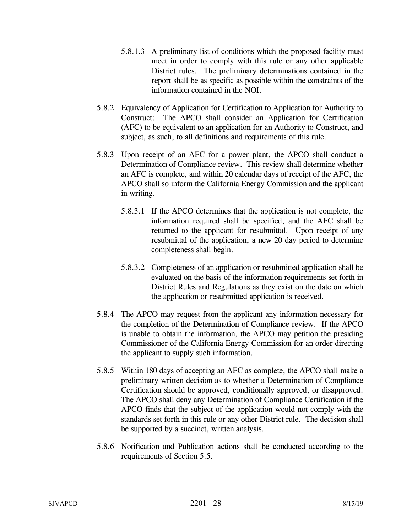- 5.8.1.3 A preliminary list of conditions which the proposed facility must meet in order to comply with this rule or any other applicable District rules. The preliminary determinations contained in the report shall be as specific as possible within the constraints of the information contained in the NOI.
- 5.8.2 Equivalency of Application for Certification to Application for Authority to Construct: The APCO shall consider an Application for Certification (AFC) to be equivalent to an application for an Authority to Construct, and subject, as such, to all definitions and requirements of this rule.
- 5.8.3 Upon receipt of an AFC for a power plant, the APCO shall conduct a Determination of Compliance review. This review shall determine whether an AFC is complete, and within 20 calendar days of receipt of the AFC, the APCO shall so inform the California Energy Commission and the applicant in writing.
	- 5.8.3.1 If the APCO determines that the application is not complete, the information required shall be specified, and the AFC shall be returned to the applicant for resubmittal. Upon receipt of any resubmittal of the application, a new 20 day period to determine completeness shall begin.
	- 5.8.3.2 Completeness of an application or resubmitted application shall be evaluated on the basis of the information requirements set forth in District Rules and Regulations as they exist on the date on which the application or resubmitted application is received.
- 5.8.4 The APCO may request from the applicant any information necessary for the completion of the Determination of Compliance review. If the APCO is unable to obtain the information, the APCO may petition the presiding Commissioner of the California Energy Commission for an order directing the applicant to supply such information.
- 5.8.5 Within 180 days of accepting an AFC as complete, the APCO shall make a preliminary written decision as to whether a Determination of Compliance Certification should be approved, conditionally approved, or disapproved. The APCO shall deny any Determination of Compliance Certification if the APCO finds that the subject of the application would not comply with the standards set forth in this rule or any other District rule. The decision shall be supported by a succinct, written analysis.
- 5.8.6 Notification and Publication actions shall be conducted according to the requirements of Section 5.5.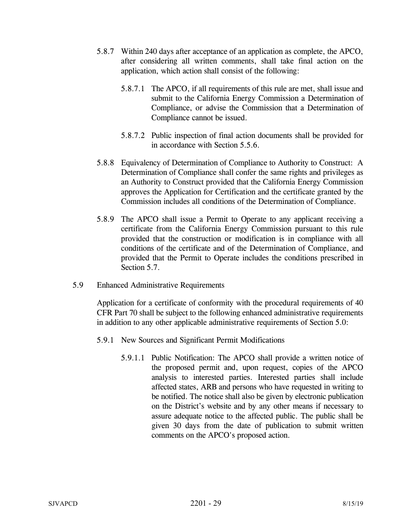- 5.8.7 Within 240 days after acceptance of an application as complete, the APCO, after considering all written comments, shall take final action on the application, which action shall consist of the following:
	- 5.8.7.1 The APCO, if all requirements of this rule are met, shall issue and submit to the California Energy Commission a Determination of Compliance, or advise the Commission that a Determination of Compliance cannot be issued.
	- 5.8.7.2 Public inspection of final action documents shall be provided for in accordance with Section 5.5.6.
- 5.8.8 Equivalency of Determination of Compliance to Authority to Construct: A Determination of Compliance shall confer the same rights and privileges as an Authority to Construct provided that the California Energy Commission approves the Application for Certification and the certificate granted by the Commission includes all conditions of the Determination of Compliance.
- 5.8.9 The APCO shall issue a Permit to Operate to any applicant receiving a certificate from the California Energy Commission pursuant to this rule provided that the construction or modification is in compliance with all conditions of the certificate and of the Determination of Compliance, and provided that the Permit to Operate includes the conditions prescribed in Section 5.7.
- 5.9 Enhanced Administrative Requirements

Application for a certificate of conformity with the procedural requirements of 40 CFR Part 70 shall be subject to the following enhanced administrative requirements in addition to any other applicable administrative requirements of Section 5.0:

- 5.9.1 New Sources and Significant Permit Modifications
	- 5.9.1.1 Public Notification: The APCO shall provide a written notice of the proposed permit and, upon request, copies of the APCO analysis to interested parties. Interested parties shall include affected states, ARB and persons who have requested in writing to be notified. The notice shall also be given by electronic publication on the District's website and by any other means if necessary to assure adequate notice to the affected public. The public shall be given 30 days from the date of publication to submit written comments on the APCO's proposed action.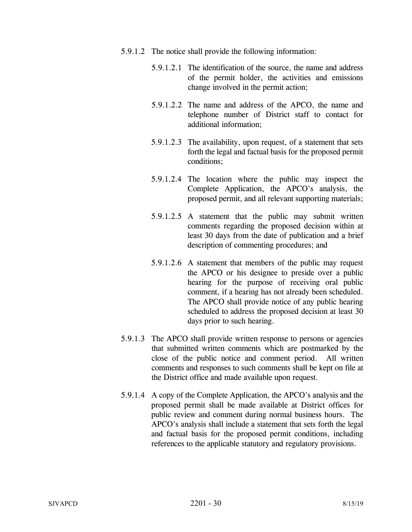- 5.9.1.2 The notice shall provide the following information:
	- 5.9.1.2.1 The identification of the source, the name and address of the permit holder, the activities and emissions change involved in the permit action;
	- 5.9.1.2.2 The name and address of the APCO, the name and telephone number of District staff to contact for additional information;
	- 5.9.1.2.3 The availability, upon request, of a statement that sets forth the legal and factual basis for the proposed permit conditions;
	- 5.9.1.2.4 The location where the public may inspect the Complete Application, the APCO's analysis, the proposed permit, and all relevant supporting materials;
	- 5.9.1.2.5 A statement that the public may submit written comments regarding the proposed decision within at least 30 days from the date of publication and a brief description of commenting procedures; and
	- 5.9.1.2.6 A statement that members of the public may request the APCO or his designee to preside over a public hearing for the purpose of receiving oral public comment, if a hearing has not already been scheduled. The APCO shall provide notice of any public hearing scheduled to address the proposed decision at least 30 days prior to such hearing.
- 5.9.1.3 The APCO shall provide written response to persons or agencies that submitted written comments which are postmarked by the close of the public notice and comment period. All written comments and responses to such comments shall be kept on file at the District office and made available upon request.
- 5.9.1.4 A copy of the Complete Application, the APCO's analysis and the proposed permit shall be made available at District offices for public review and comment during normal business hours. The APCO's analysis shall include a statement that sets forth the legal and factual basis for the proposed permit conditions, including references to the applicable statutory and regulatory provisions.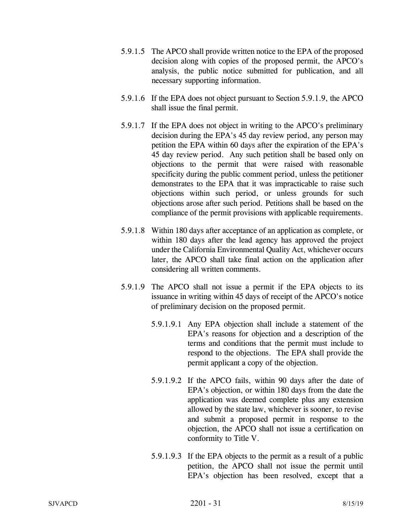- 5.9.1.5 The APCO shall provide written notice to the EPA of the proposed decision along with copies of the proposed permit, the APCO's analysis, the public notice submitted for publication, and all necessary supporting information.
- 5.9.1.6 If the EPA does not object pursuant to Section 5.9.1.9, the APCO shall issue the final permit.
- 5.9.1.7 If the EPA does not object in writing to the APCO's preliminary decision during the EPA's 45 day review period, any person may petition the EPA within 60 days after the expiration of the EPA's 45 day review period. Any such petition shall be based only on objections to the permit that were raised with reasonable specificity during the public comment period, unless the petitioner demonstrates to the EPA that it was impracticable to raise such objections within such period, or unless grounds for such objections arose after such period. Petitions shall be based on the compliance of the permit provisions with applicable requirements.
- 5.9.1.8 Within 180 days after acceptance of an application as complete, or within 180 days after the lead agency has approved the project under the California Environmental Quality Act, whichever occurs later, the APCO shall take final action on the application after considering all written comments.
- 5.9.1.9 The APCO shall not issue a permit if the EPA objects to its issuance in writing within 45 days of receipt of the APCO's notice of preliminary decision on the proposed permit.
	- 5.9.1.9.1 Any EPA objection shall include a statement of the EPA's reasons for objection and a description of the terms and conditions that the permit must include to respond to the objections. The EPA shall provide the permit applicant a copy of the objection.
	- 5.9.1.9.2 If the APCO fails, within 90 days after the date of EPA's objection, or within 180 days from the date the application was deemed complete plus any extension allowed by the state law, whichever is sooner, to revise and submit a proposed permit in response to the objection, the APCO shall not issue a certification on conformity to Title V.
	- 5.9.1.9.3 If the EPA objects to the permit as a result of a public petition, the APCO shall not issue the permit until EPA's objection has been resolved, except that a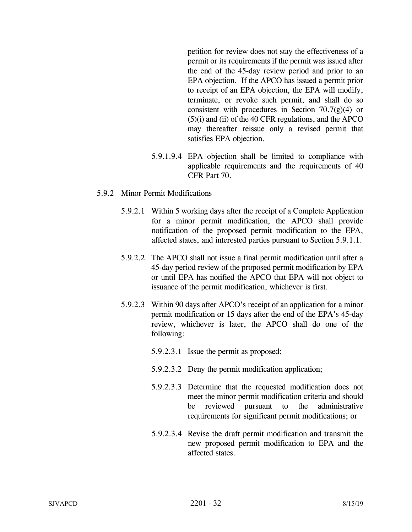petition for review does not stay the effectiveness of a permit or its requirements if the permit was issued after the end of the 45-day review period and prior to an EPA objection. If the APCO has issued a permit prior to receipt of an EPA objection, the EPA will modify, terminate, or revoke such permit, and shall do so consistent with procedures in Section  $70.7(g)(4)$  or (5)(i) and (ii) of the 40 CFR regulations, and the APCO may thereafter reissue only a revised permit that satisfies EPA objection.

5.9.1.9.4 EPA objection shall be limited to compliance with applicable requirements and the requirements of 40 CFR Part 70.

## 5.9.2 Minor Permit Modifications

- 5.9.2.1 Within 5 working days after the receipt of a Complete Application for a minor permit modification, the APCO shall provide notification of the proposed permit modification to the EPA, affected states, and interested parties pursuant to Section 5.9.1.1.
- 5.9.2.2 The APCO shall not issue a final permit modification until after a 45-day period review of the proposed permit modification by EPA or until EPA has notified the APCO that EPA will not object to issuance of the permit modification, whichever is first.
- 5.9.2.3 Within 90 days after APCO's receipt of an application for a minor permit modification or 15 days after the end of the EPA's 45-day review, whichever is later, the APCO shall do one of the following:
	- 5.9.2.3.1 Issue the permit as proposed;
	- 5.9.2.3.2 Deny the permit modification application;
	- 5.9.2.3.3 Determine that the requested modification does not meet the minor permit modification criteria and should be reviewed pursuant to the administrative requirements for significant permit modifications; or
	- 5.9.2.3.4 Revise the draft permit modification and transmit the new proposed permit modification to EPA and the affected states.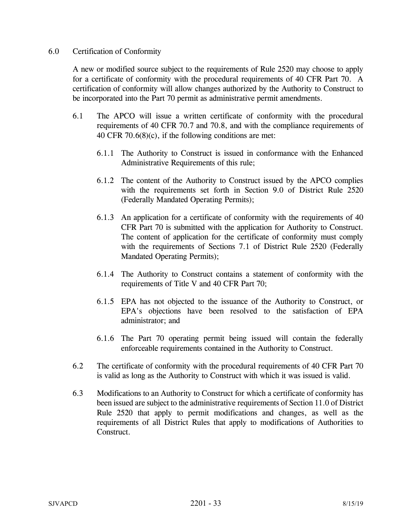## 6.0 Certification of Conformity

A new or modified source subject to the requirements of Rule 2520 may choose to apply for a certificate of conformity with the procedural requirements of 40 CFR Part 70. A certification of conformity will allow changes authorized by the Authority to Construct to be incorporated into the Part 70 permit as administrative permit amendments.

- 6.1 The APCO will issue a written certificate of conformity with the procedural requirements of 40 CFR 70.7 and 70.8, and with the compliance requirements of 40 CFR 70.6(8)(c), if the following conditions are met:
	- 6.1.1 The Authority to Construct is issued in conformance with the Enhanced Administrative Requirements of this rule;
	- 6.1.2 The content of the Authority to Construct issued by the APCO complies with the requirements set forth in Section 9.0 of District Rule 2520 (Federally Mandated Operating Permits);
	- 6.1.3 An application for a certificate of conformity with the requirements of 40 CFR Part 70 is submitted with the application for Authority to Construct. The content of application for the certificate of conformity must comply with the requirements of Sections 7.1 of District Rule 2520 (Federally Mandated Operating Permits);
	- 6.1.4 The Authority to Construct contains a statement of conformity with the requirements of Title V and 40 CFR Part 70;
	- 6.1.5 EPA has not objected to the issuance of the Authority to Construct, or EPA's objections have been resolved to the satisfaction of EPA administrator; and
	- 6.1.6 The Part 70 operating permit being issued will contain the federally enforceable requirements contained in the Authority to Construct.
- 6.2 The certificate of conformity with the procedural requirements of 40 CFR Part 70 is valid as long as the Authority to Construct with which it was issued is valid.
- 6.3 Modifications to an Authority to Construct for which a certificate of conformity has been issued are subject to the administrative requirements of Section 11.0 of District Rule 2520 that apply to permit modifications and changes, as well as the requirements of all District Rules that apply to modifications of Authorities to Construct.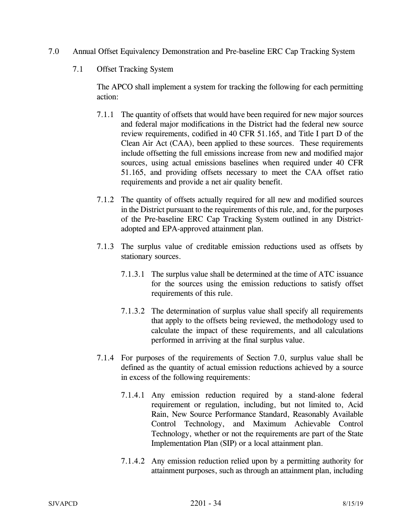- 7.0 Annual Offset Equivalency Demonstration and Pre-baseline ERC Cap Tracking System
	- 7.1 Offset Tracking System

The APCO shall implement a system for tracking the following for each permitting action:

- 7.1.1 The quantity of offsets that would have been required for new major sources and federal major modifications in the District had the federal new source review requirements, codified in 40 CFR 51.165, and Title I part D of the Clean Air Act (CAA), been applied to these sources. These requirements include offsetting the full emissions increase from new and modified major sources, using actual emissions baselines when required under 40 CFR 51.165, and providing offsets necessary to meet the CAA offset ratio requirements and provide a net air quality benefit.
- 7.1.2 The quantity of offsets actually required for all new and modified sources in the District pursuant to the requirements of this rule, and, for the purposes of the Pre-baseline ERC Cap Tracking System outlined in any Districtadopted and EPA-approved attainment plan.
- 7.1.3 The surplus value of creditable emission reductions used as offsets by stationary sources.
	- 7.1.3.1 The surplus value shall be determined at the time of ATC issuance for the sources using the emission reductions to satisfy offset requirements of this rule.
	- 7.1.3.2 The determination of surplus value shall specify all requirements that apply to the offsets being reviewed, the methodology used to calculate the impact of these requirements, and all calculations performed in arriving at the final surplus value.
- 7.1.4 For purposes of the requirements of Section 7.0, surplus value shall be defined as the quantity of actual emission reductions achieved by a source in excess of the following requirements:
	- 7.1.4.1 Any emission reduction required by a stand-alone federal requirement or regulation, including, but not limited to, Acid Rain, New Source Performance Standard, Reasonably Available Control Technology, and Maximum Achievable Control Technology, whether or not the requirements are part of the State Implementation Plan (SIP) or a local attainment plan.
	- 7.1.4.2 Any emission reduction relied upon by a permitting authority for attainment purposes, such as through an attainment plan, including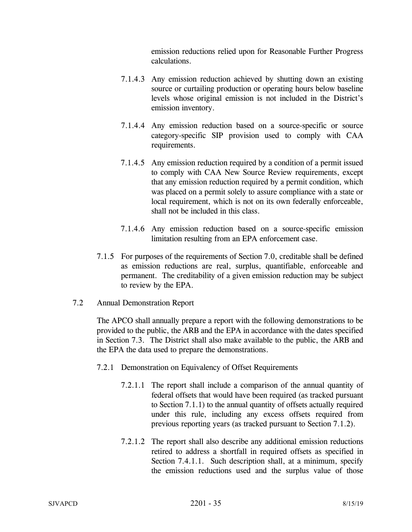emission reductions relied upon for Reasonable Further Progress calculations.

- 7.1.4.3 Any emission reduction achieved by shutting down an existing source or curtailing production or operating hours below baseline levels whose original emission is not included in the District's emission inventory.
- 7.1.4.4 Any emission reduction based on a source-specific or source category-specific SIP provision used to comply with CAA requirements.
- 7.1.4.5 Any emission reduction required by a condition of a permit issued to comply with CAA New Source Review requirements, except that any emission reduction required by a permit condition, which was placed on a permit solely to assure compliance with a state or local requirement, which is not on its own federally enforceable, shall not be included in this class.
- 7.1.4.6 Any emission reduction based on a source-specific emission limitation resulting from an EPA enforcement case.
- 7.1.5 For purposes of the requirements of Section 7.0, creditable shall be defined as emission reductions are real, surplus, quantifiable, enforceable and permanent. The creditability of a given emission reduction may be subject to review by the EPA.
- 7.2 Annual Demonstration Report

The APCO shall annually prepare a report with the following demonstrations to be provided to the public, the ARB and the EPA in accordance with the dates specified in Section 7.3. The District shall also make available to the public, the ARB and the EPA the data used to prepare the demonstrations.

- 7.2.1 Demonstration on Equivalency of Offset Requirements
	- 7.2.1.1 The report shall include a comparison of the annual quantity of federal offsets that would have been required (as tracked pursuant to Section 7.1.1) to the annual quantity of offsets actually required under this rule, including any excess offsets required from previous reporting years (as tracked pursuant to Section 7.1.2).
	- 7.2.1.2 The report shall also describe any additional emission reductions retired to address a shortfall in required offsets as specified in Section 7.4.1.1. Such description shall, at a minimum, specify the emission reductions used and the surplus value of those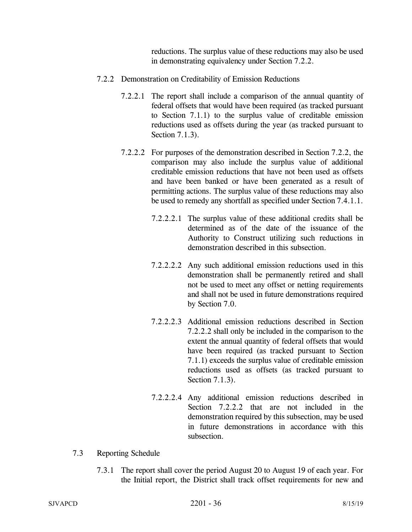reductions. The surplus value of these reductions may also be used in demonstrating equivalency under Section 7.2.2.

- 7.2.2 Demonstration on Creditability of Emission Reductions
	- 7.2.2.1 The report shall include a comparison of the annual quantity of federal offsets that would have been required (as tracked pursuant to Section 7.1.1) to the surplus value of creditable emission reductions used as offsets during the year (as tracked pursuant to Section 7.1.3).
	- 7.2.2.2 For purposes of the demonstration described in Section 7.2.2, the comparison may also include the surplus value of additional creditable emission reductions that have not been used as offsets and have been banked or have been generated as a result of permitting actions. The surplus value of these reductions may also be used to remedy any shortfall as specified under Section 7.4.1.1.
		- 7.2.2.2.1 The surplus value of these additional credits shall be determined as of the date of the issuance of the Authority to Construct utilizing such reductions in demonstration described in this subsection.
		- 7.2.2.2.2 Any such additional emission reductions used in this demonstration shall be permanently retired and shall not be used to meet any offset or netting requirements and shall not be used in future demonstrations required by Section 7.0.
		- 7.2.2.2.3 Additional emission reductions described in Section 7.2.2.2 shall only be included in the comparison to the extent the annual quantity of federal offsets that would have been required (as tracked pursuant to Section 7.1.1) exceeds the surplus value of creditable emission reductions used as offsets (as tracked pursuant to Section 7.1.3).
		- 7.2.2.2.4 Any additional emission reductions described in Section 7.2.2.2 that are not included in the demonstration required by this subsection, may be used in future demonstrations in accordance with this subsection.
- 7.3 Reporting Schedule
	- 7.3.1 The report shall cover the period August 20 to August 19 of each year. For the Initial report, the District shall track offset requirements for new and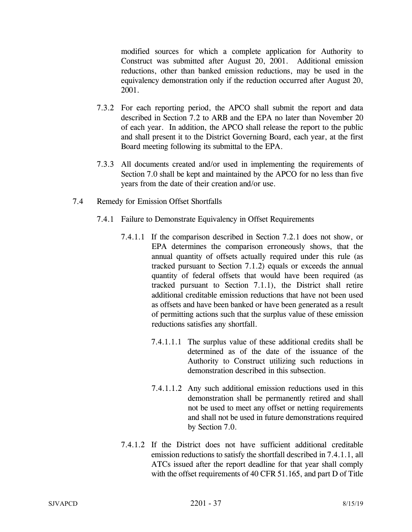modified sources for which a complete application for Authority to Construct was submitted after August 20, 2001. Additional emission reductions, other than banked emission reductions, may be used in the equivalency demonstration only if the reduction occurred after August 20, 2001.

- 7.3.2 For each reporting period, the APCO shall submit the report and data described in Section 7.2 to ARB and the EPA no later than November 20 of each year. In addition, the APCO shall release the report to the public and shall present it to the District Governing Board, each year, at the first Board meeting following its submittal to the EPA.
- 7.3.3 All documents created and/or used in implementing the requirements of Section 7.0 shall be kept and maintained by the APCO for no less than five years from the date of their creation and/or use.
- 7.4 Remedy for Emission Offset Shortfalls
	- 7.4.1 Failure to Demonstrate Equivalency in Offset Requirements
		- 7.4.1.1 If the comparison described in Section 7.2.1 does not show, or EPA determines the comparison erroneously shows, that the annual quantity of offsets actually required under this rule (as tracked pursuant to Section 7.1.2) equals or exceeds the annual quantity of federal offsets that would have been required (as tracked pursuant to Section 7.1.1), the District shall retire additional creditable emission reductions that have not been used as offsets and have been banked or have been generated as a result of permitting actions such that the surplus value of these emission reductions satisfies any shortfall.
			- 7.4.1.1.1 The surplus value of these additional credits shall be determined as of the date of the issuance of the Authority to Construct utilizing such reductions in demonstration described in this subsection.
			- 7.4.1.1.2 Any such additional emission reductions used in this demonstration shall be permanently retired and shall not be used to meet any offset or netting requirements and shall not be used in future demonstrations required by Section 7.0.
		- 7.4.1.2 If the District does not have sufficient additional creditable emission reductions to satisfy the shortfall described in 7.4.1.1, all ATCs issued after the report deadline for that year shall comply with the offset requirements of 40 CFR 51.165, and part D of Title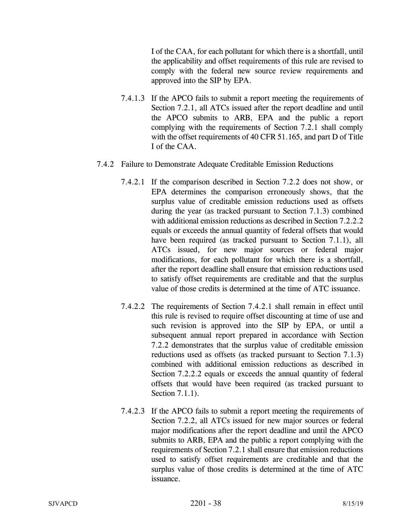I of the CAA, for each pollutant for which there is a shortfall, until the applicability and offset requirements of this rule are revised to comply with the federal new source review requirements and approved into the SIP by EPA.

- 7.4.1.3 If the APCO fails to submit a report meeting the requirements of Section 7.2.1, all ATCs issued after the report deadline and until the APCO submits to ARB, EPA and the public a report complying with the requirements of Section 7.2.1 shall comply with the offset requirements of 40 CFR 51.165, and part D of Title I of the CAA.
- 7.4.2 Failure to Demonstrate Adequate Creditable Emission Reductions
	- 7.4.2.1 If the comparison described in Section 7.2.2 does not show, or EPA determines the comparison erroneously shows, that the surplus value of creditable emission reductions used as offsets during the year (as tracked pursuant to Section 7.1.3) combined with additional emission reductions as described in Section 7.2.2.2 equals or exceeds the annual quantity of federal offsets that would have been required (as tracked pursuant to Section 7.1.1), all ATCs issued, for new major sources or federal major modifications, for each pollutant for which there is a shortfall, after the report deadline shall ensure that emission reductions used to satisfy offset requirements are creditable and that the surplus value of those credits is determined at the time of ATC issuance.
	- 7.4.2.2 The requirements of Section 7.4.2.1 shall remain in effect until this rule is revised to require offset discounting at time of use and such revision is approved into the SIP by EPA, or until a subsequent annual report prepared in accordance with Section 7.2.2 demonstrates that the surplus value of creditable emission reductions used as offsets (as tracked pursuant to Section 7.1.3) combined with additional emission reductions as described in Section 7.2.2.2 equals or exceeds the annual quantity of federal offsets that would have been required (as tracked pursuant to Section 7.1.1).
	- 7.4.2.3 If the APCO fails to submit a report meeting the requirements of Section 7.2.2, all ATCs issued for new major sources or federal major modifications after the report deadline and until the APCO submits to ARB, EPA and the public a report complying with the requirements of Section 7.2.1 shall ensure that emission reductions used to satisfy offset requirements are creditable and that the surplus value of those credits is determined at the time of ATC issuance.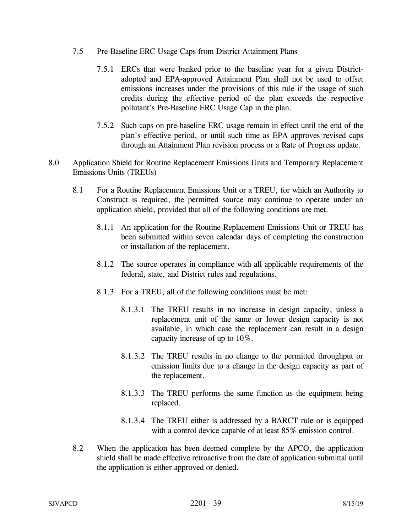- 7.5 Pre-Baseline ERC Usage Caps from District Attainment Plans
	- 7.5.1 ERCs that were banked prior to the baseline year for a given Districtadopted and EPA-approved Attainment Plan shall not be used to offset emissions increases under the provisions of this rule if the usage of such credits during the effective period of the plan exceeds the respective pollutant's Pre-Baseline ERC Usage Cap in the plan.
	- 7.5.2 Such caps on pre-baseline ERC usage remain in effect until the end of the plan's effective period, or until such time as EPA approves revised caps through an Attainment Plan revision process or a Rate of Progress update.
- 8.0 Application Shield for Routine Replacement Emissions Units and Temporary Replacement Emissions Units (TREUs)
	- 8.1 For a Routine Replacement Emissions Unit or a TREU, for which an Authority to Construct is required, the permitted source may continue to operate under an application shield, provided that all of the following conditions are met.
		- 8.1.1 An application for the Routine Replacement Emissions Unit or TREU has been submitted within seven calendar days of completing the construction or installation of the replacement.
		- 8.1.2 The source operates in compliance with all applicable requirements of the federal, state, and District rules and regulations.
		- 8.1.3 For a TREU, all of the following conditions must be met:
			- 8.1.3.1 The TREU results in no increase in design capacity, unless a replacement unit of the same or lower design capacity is not available, in which case the replacement can result in a design capacity increase of up to 10%.
			- 8.1.3.2 The TREU results in no change to the permitted throughput or emission limits due to a change in the design capacity as part of the replacement.
			- 8.1.3.3 The TREU performs the same function as the equipment being replaced.
			- 8.1.3.4 The TREU either is addressed by a BARCT rule or is equipped with a control device capable of at least 85% emission control.
	- 8.2 When the application has been deemed complete by the APCO, the application shield shall be made effective retroactive from the date of application submittal until the application is either approved or denied.